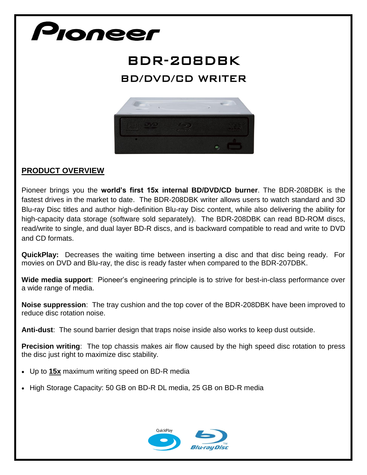## Pioneer

## BDR-208DBK BD/DVD/CD WRITER



## **PRODUCT OVERVIEW**

Pioneer brings you the **world's first 15x internal BD/DVD/CD burner**. The BDR-208DBK is the fastest drives in the market to date. The BDR-208DBK writer allows users to watch standard and 3D Blu-ray Disc titles and author high-definition Blu-ray Disc content, while also delivering the ability for high-capacity data storage (software sold separately). The BDR-208DBK can read BD-ROM discs, read/write to single, and dual layer BD-R discs, and is backward compatible to read and write to DVD and CD formats.

**QuickPlay:** Decreases the waiting time between inserting a disc and that disc being ready. For movies on DVD and Blu-ray, the disc is ready faster when compared to the BDR-207DBK.

**Wide media support**: Pioneer's engineering principle is to strive for best-in-class performance over a wide range of media.

**Noise suppression**: The tray cushion and the top cover of the BDR-208DBK have been improved to reduce disc rotation noise.

**Anti-dust**: The sound barrier design that traps noise inside also works to keep dust outside.

**Precision writing**: The top chassis makes air flow caused by the high speed disc rotation to press the disc just right to maximize disc stability.

- Up to **15x** maximum writing speed on BD-R media
- High Storage Capacity: 50 GB on BD-R DL media, 25 GB on BD-R media